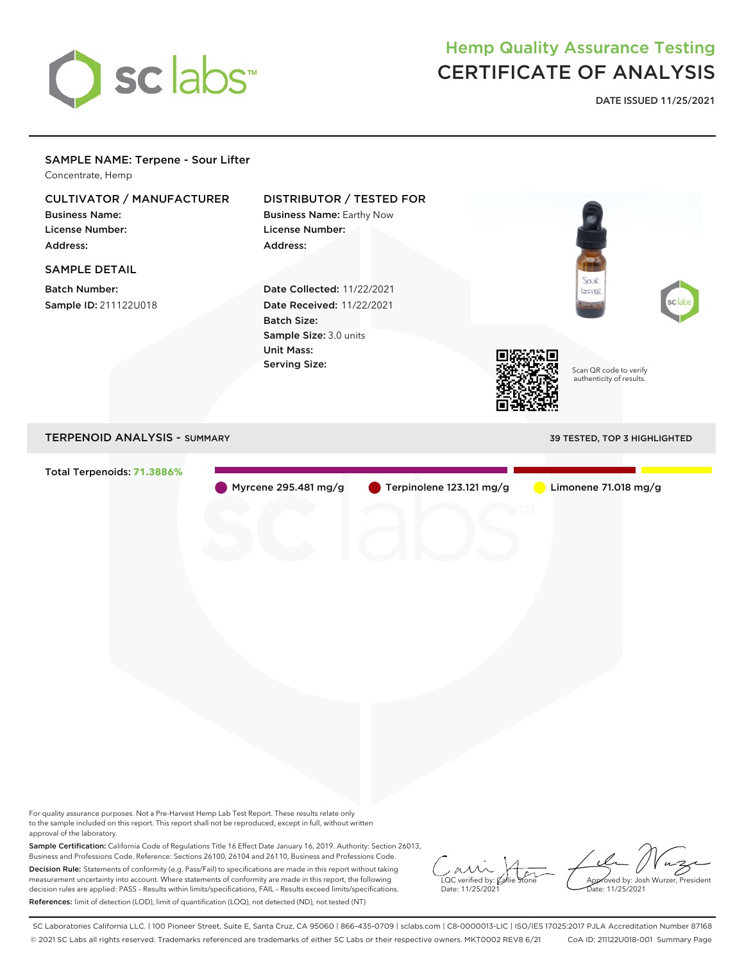

## Hemp Quality Assurance Testing CERTIFICATE OF ANALYSIS

**DATE ISSUED 11/25/2021**

## SAMPLE NAME: Terpene - Sour Lifter Concentrate, Hemp CULTIVATOR / MANUFACTURER DISTRIBUTOR / TESTED FOR Business Name: Business Name: Earthy Now License Number: License Number: Address: Address: SAMPLE DETAIL Saul Batch Number: Date Collected: 11/22/2021 LIFTER Sample ID: 211122U018 Date Received: 11/22/2021 Batch Size: Sample Size: 3.0 units Unit Mass: Serving Size: Scan QR code to verify authenticity of results. TERPENOID ANALYSIS - SUMMARY 39 TESTED, TOP 3 HIGHLIGHTED Total Terpenoids: **71.3886%** Myrcene 295.481 mg/g Terpinolene 123.121 mg/g Limonene 71.018 mg/g

For quality assurance purposes. Not a Pre-Harvest Hemp Lab Test Report. These results relate only to the sample included on this report. This report shall not be reproduced, except in full, without written approval of the laboratory.

Sample Certification: California Code of Regulations Title 16 Effect Date January 16, 2019. Authority: Section 26013, Business and Professions Code. Reference: Sections 26100, 26104 and 26110, Business and Professions Code. Decision Rule: Statements of conformity (e.g. Pass/Fail) to specifications are made in this report without taking measurement uncertainty into account. Where statements of conformity are made in this report, the following decision rules are applied: PASS – Results within limits/specifications, FAIL – Results exceed limits/specifications. References: limit of detection (LOD), limit of quantification (LOQ), not detected (ND), not tested (NT)

 $\overline{\text{LOC}}$  verified by:  $\mathcal C$ Date: 11/25/2021

Approved by: Josh Wurzer, President ate: 11/25/2021

SC Laboratories California LLC. | 100 Pioneer Street, Suite E, Santa Cruz, CA 95060 | 866-435-0709 | sclabs.com | C8-0000013-LIC | ISO/IES 17025:2017 PJLA Accreditation Number 87168 © 2021 SC Labs all rights reserved. Trademarks referenced are trademarks of either SC Labs or their respective owners. MKT0002 REV8 6/21 CoA ID: 211122U018-001 Summary Page